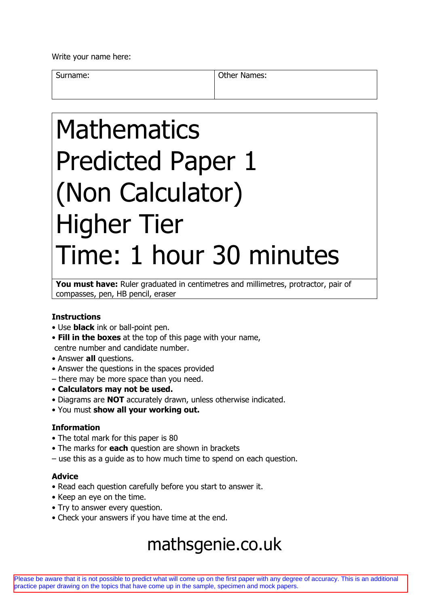Write your name here:

Surname: Surname: Communication of the Mannes:

# Mathematics Predicted Paper 1 (Non Calculator) Higher Tier Time: 1 hour 30 minutes

You must have: Ruler graduated in centimetres and millimetres, protractor, pair of compasses, pen, HB pencil, eraser

### **Instructions**

- Use **black** ink or ball-point pen.
- **Fill in the boxes** at the top of this page with your name, centre number and candidate number.
- Answer **all** questions.
- Answer the questions in the spaces provided
- there may be more space than you need.
- **Calculators may not be used.**
- Diagrams are **NOT** accurately drawn, unless otherwise indicated.
- You must **show all your working out.**

### **Information**

- The total mark for this paper is 80
- The marks for **each** question are shown in brackets
- use this as a guide as to how much time to spend on each question.

### **Advice**

- Read each question carefully before you start to answer it.
- Keep an eye on the time.
- Try to answer every question.
- Check your answers if you have time at the end.

## mathsgenie.co.uk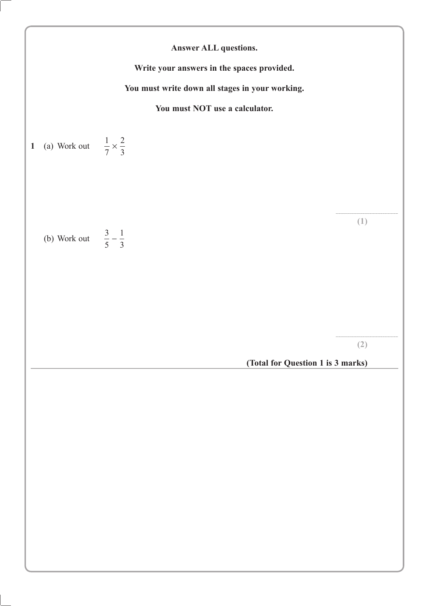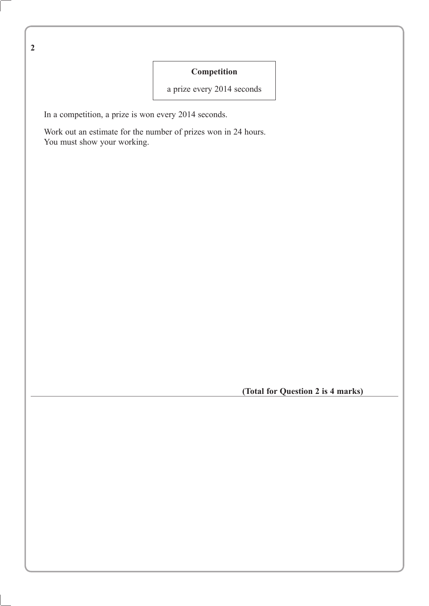**2**

### **Competition**

a prize every 2014 seconds

In a competition, a prize is won every 2014 seconds.

Work out an estimate for the number of prizes won in 24 hours. You must show your working.

**(Total for Question 2 is 4 marks)**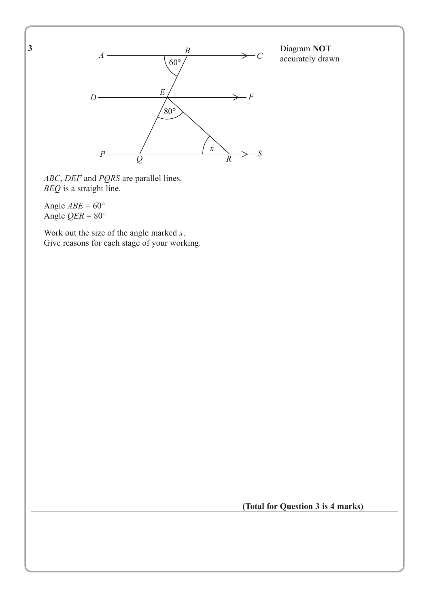**3**



*R*

Diagram **NOT** accurately drawn

*ABC*, *DEF* and *PQRS* are parallel lines. *BEQ* is a straight line*.*

Angle  $ABE = 60^\circ$ Angle  $QER = 80^\circ$ 

Work out the size of the angle marked *x*. Give reasons for each stage of your working.

**(Total for Question 3 is 4 marks)**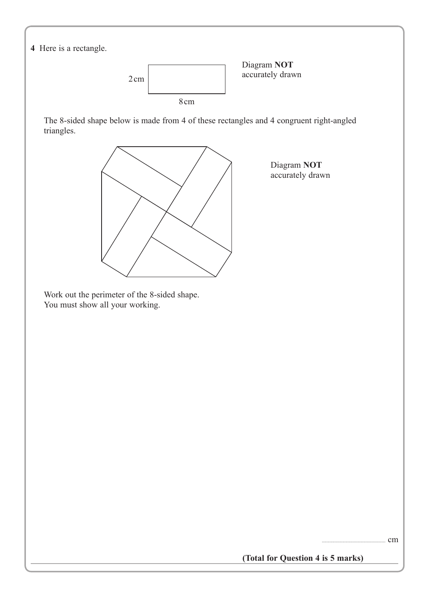

**(Total for Question 4 is 5 marks)**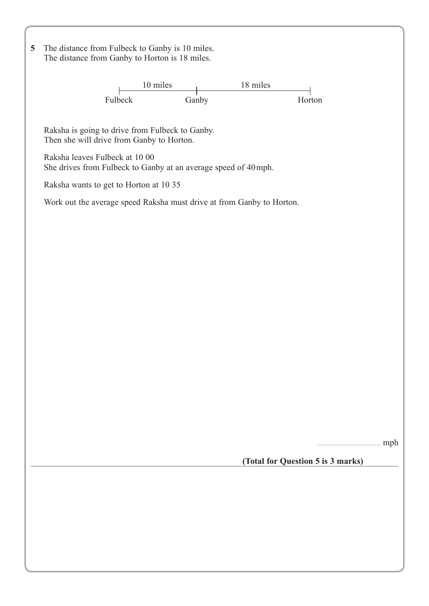**5** The distance from Fulbeck to Ganby is 10 miles. The distance from Ganby to Horton is 18 miles.

> 10 miles 18 miles Fulbeck Ganby Horton

Raksha is going to drive from Fulbeck to Ganby. Then she will drive from Ganby to Horton.

Raksha leaves Fulbeck at 10 00 She drives from Fulbeck to Ganby at an average speed of 40mph.

Raksha wants to get to Horton at 10 35

Work out the average speed Raksha must drive at from Ganby to Horton.

 $\ldots$  mph

**(Total for Question 5 is 3 marks)**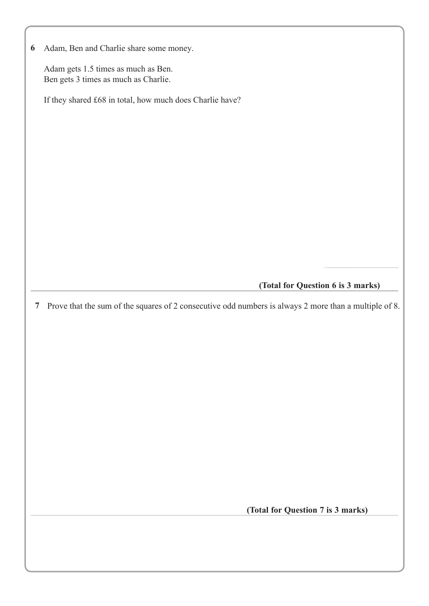|  |  |  |  |  |  |  | 6 Adam, Ben and Charlie share some money. |
|--|--|--|--|--|--|--|-------------------------------------------|
|--|--|--|--|--|--|--|-------------------------------------------|

Adam gets 1.5 times as much as Ben. Ben gets 3 times as much as Charlie.

If they shared £68 in total, how much does Charlie have?

### **(Total for Question 6 is 3 marks)**

. ...................................................................

Prove that the sum of the squares of 2 consecutive odd numbers is always 2 more than a multiple of 8. **7**

**(Total for Question 7 is 3 marks)**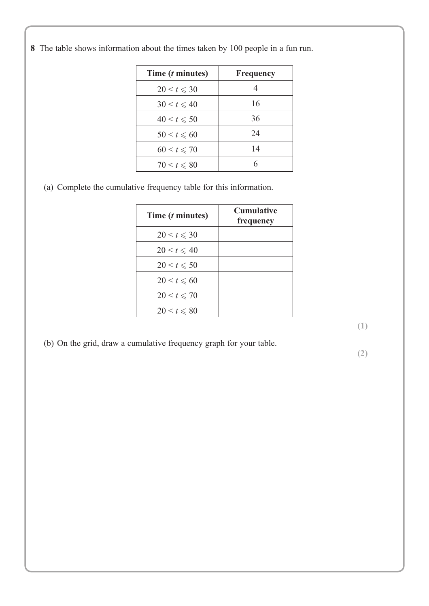**8** The table shows information about the times taken by 100 people in a fun run.

| Time ( <i>t</i> minutes) | Frequency |
|--------------------------|-----------|
| $20 \le t \le 30$        |           |
| $30 < t \leq 40$         | 16        |
| $40 < t \le 50$          | 36        |
| $50 < t \le 60$          | 24        |
| $60 \le t \le 70$        | 14        |
| $70 \le t \le 80$        |           |

(a) Complete the cumulative frequency table for this information.

| Time ( <i>t</i> minutes) | <b>Cumulative</b><br>frequency |
|--------------------------|--------------------------------|
| $20 \le t \le 30$        |                                |
| $20 < t \leq 40$         |                                |
| $20 \le t \le 50$        |                                |
| $20 \le t \le 60$        |                                |
| $20 \le t \le 70$        |                                |
| $20 \leq t \leq 80$      |                                |

**(1)**

(b) On the grid, draw a cumulative frequency graph for your table.

**(2)**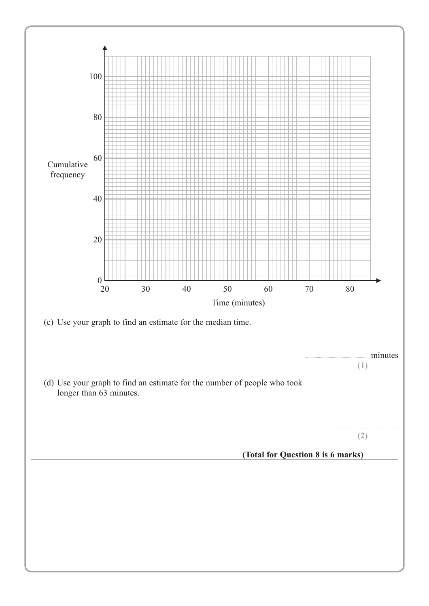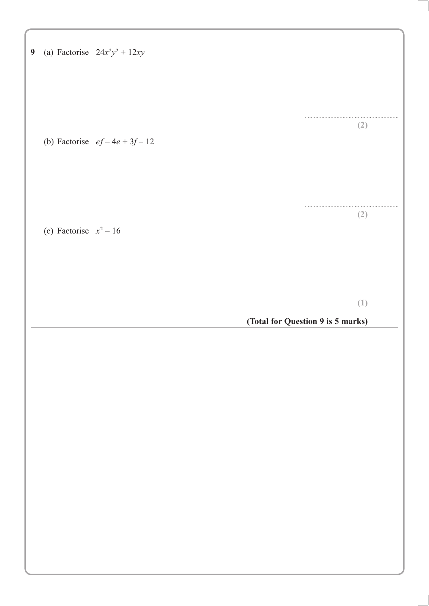| $\boldsymbol{9}$ |                          | (a) Factorise $24x^2y^2 + 12xy$ |                                          |
|------------------|--------------------------|---------------------------------|------------------------------------------|
|                  |                          | (b) Factorise $ef-4e+3f-12$     | (2)                                      |
|                  | (c) Factorise $x^2 - 16$ |                                 | (2)                                      |
|                  |                          |                                 | (1)<br>(Total for Question 9 is 5 marks) |
|                  |                          |                                 |                                          |
|                  |                          |                                 |                                          |
|                  |                          |                                 |                                          |
|                  |                          |                                 |                                          |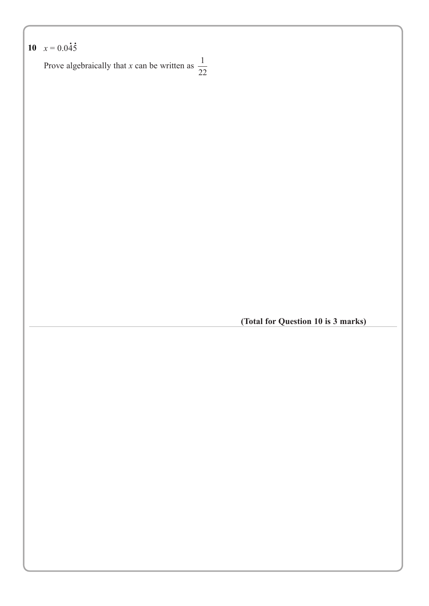```
0 x = 0.045.
10
```
Prove algebraically that *x* can be written as  $\frac{1}{2}$ 

**(Total for Question 10 is 3 marks)**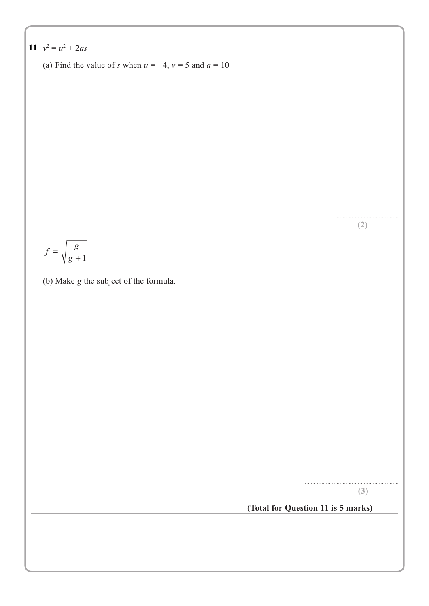11 
$$
v^2 = u^2 + 2as
$$

(a) Find the value of s when  $u = -4$ ,  $v = 5$  and  $a = 10$ 

$$
f = \sqrt{\frac{g}{g+1}}
$$

(b) Make g the subject of the formula.

 $(3)$ 

 $(2)$ 

### (Total for Question 11 is 5 marks)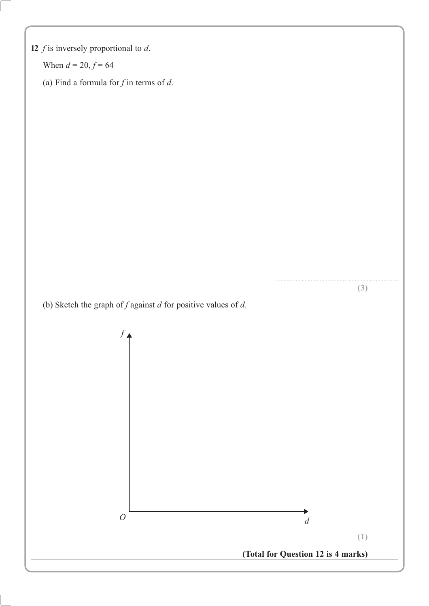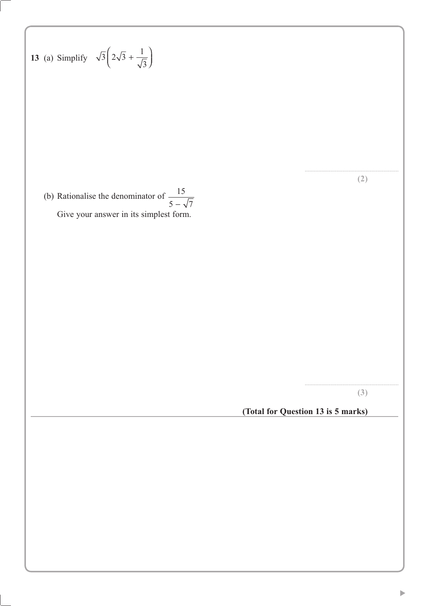13 (a) Simplify 
$$
\sqrt{3}\left(2\sqrt{3} + \frac{1}{\sqrt{3}}\right)
$$
  
\n(b) Rationalise the denominator of  $\frac{15}{5 - \sqrt{7}}$   
\nGive your answer in its simplest form.  
\n(3)  
\n(Total for Question 13 is 5 marks)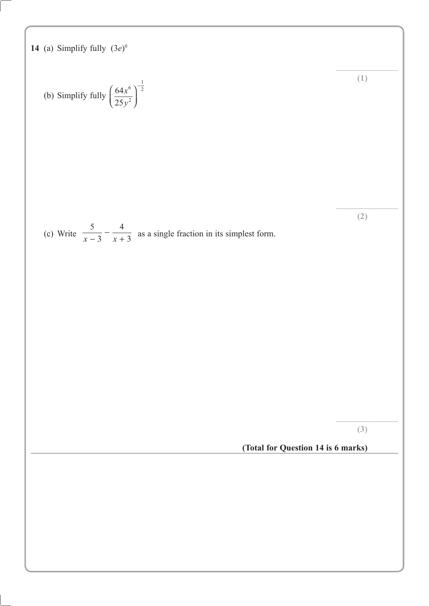14 (a) Simplify fully 
$$
(3e)^n
$$
  
\n(b) Simplify fully  $\left(\frac{64x^6}{25y^3}\right)^{\frac{1}{2}}$  (1)  
\n(c) Write  $\frac{5}{x-3} - \frac{4}{x+3}$  as a single fraction in its simplest form.  
\n(2)  
\n(3)  
\n(Total for Question 14 is 6 marks)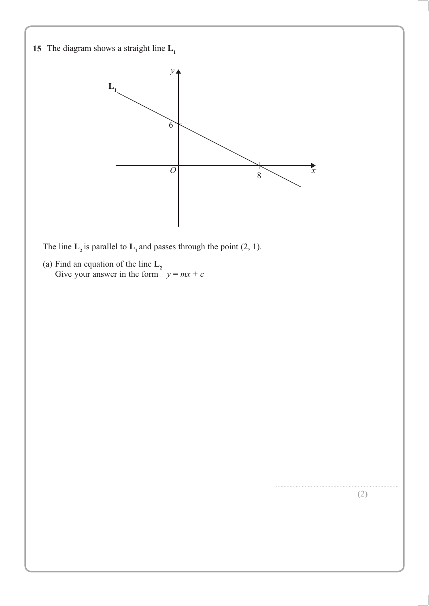

2

(a) Find an equation of the line  $L_2$ Give your answer in the form  $y = mx + c$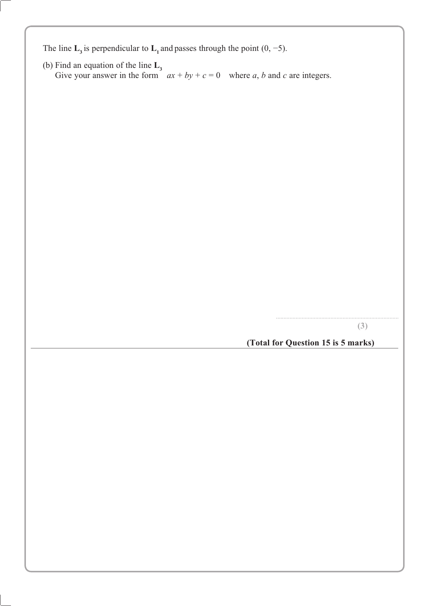The line  $\mathbf{L}_3$  is perpendicular to  $\mathbf{L}_1$  and passes through the point (0, -5).

(b) Find an equation of the line  $\mathbf{L}_3$ <br>Give your answer in the form  $ax + by + c = 0$  where a, b and c are integers.

 $(3)$ 

(Total for Question 15 is 5 marks)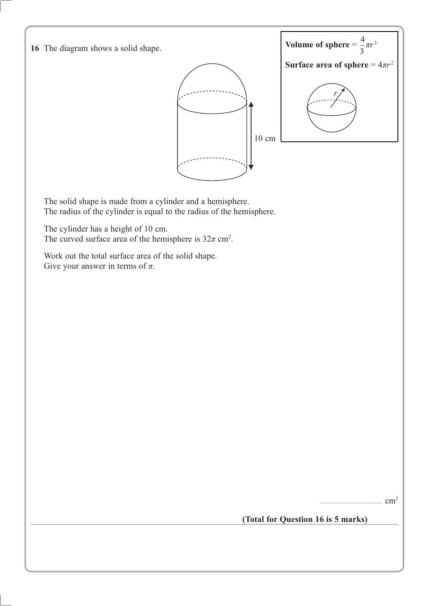

 $cm<sup>2</sup>$ 

**(Total for Question 16 is 5 marks)**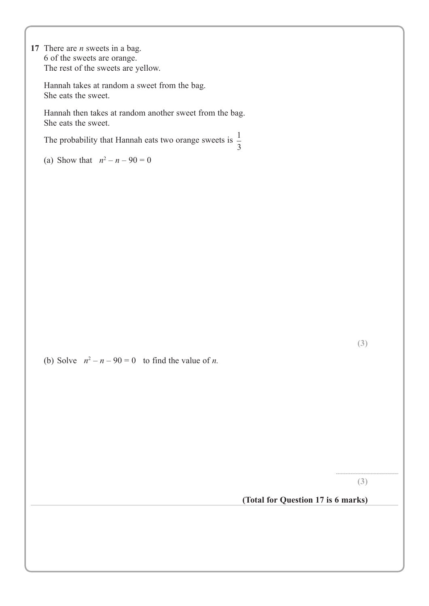**17** There are *n* sweets in a bag. 6 of the sweets are orange. The rest of the sweets are yellow.

Hannah takes at random a sweet from the bag. She eats the sweet.

Hannah then takes at random another sweet from the bag. She eats the sweet.

The probability that Hannah eats two orange sweets is  $\frac{1}{3}$ 

(a) Show that  $n^2 - n - 90 = 0$ 

(b) Solve  $n^2 - n - 90 = 0$  to find the value of *n*.

**(3)**

..........................................................

**(Total for Question 17 is 6 marks)**

**(3)**